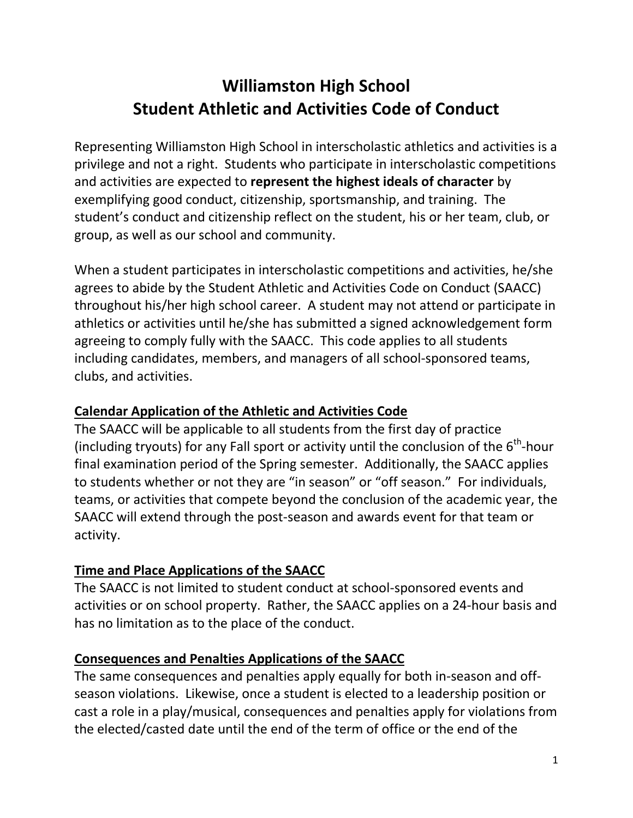# **Williamston High School Student Athletic and Activities Code of Conduct**

Representing Williamston High School in interscholastic athletics and activities is a privilege and not a right. Students who participate in interscholastic competitions and activities are expected to **represent the highest ideals of character** by exemplifying good conduct, citizenship, sportsmanship, and training. The student's conduct and citizenship reflect on the student, his or her team, club, or group, as well as our school and community.

When a student participates in interscholastic competitions and activities, he/she agrees to abide by the Student Athletic and Activities Code on Conduct (SAACC) throughout his/her high school career. A student may not attend or participate in athletics or activities until he/she has submitted a signed acknowledgement form agreeing to comply fully with the SAACC. This code applies to all students including candidates, members, and managers of all school-sponsored teams, clubs, and activities.

# **Calendar Application of the Athletic and Activities Code**

The SAACC will be applicable to all students from the first day of practice (including tryouts) for any Fall sport or activity until the conclusion of the  $6<sup>th</sup>$ -hour final examination period of the Spring semester. Additionally, the SAACC applies to students whether or not they are "in season" or "off season." For individuals, teams, or activities that compete beyond the conclusion of the academic year, the SAACC will extend through the post-season and awards event for that team or activity.

# **Time and Place Applications of the SAACC**

The SAACC is not limited to student conduct at school-sponsored events and activities or on school property. Rather, the SAACC applies on a 24-hour basis and has no limitation as to the place of the conduct.

#### **Consequences and Penalties Applications of the SAACC**

The same consequences and penalties apply equally for both in-season and offseason violations. Likewise, once a student is elected to a leadership position or cast a role in a play/musical, consequences and penalties apply for violations from the elected/casted date until the end of the term of office or the end of the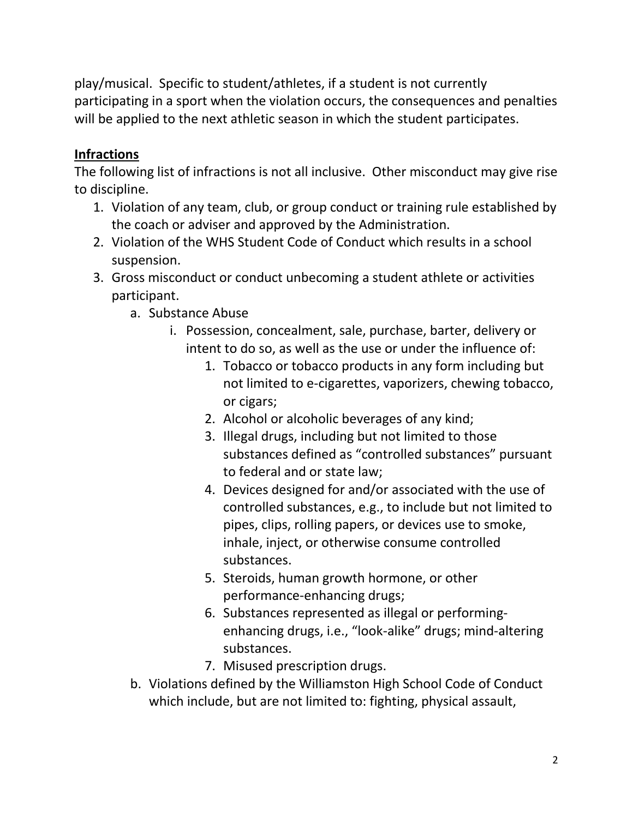play/musical. Specific to student/athletes, if a student is not currently participating in a sport when the violation occurs, the consequences and penalties will be applied to the next athletic season in which the student participates.

# **Infractions**

The following list of infractions is not all inclusive. Other misconduct may give rise to discipline.

- 1. Violation of any team, club, or group conduct or training rule established by the coach or adviser and approved by the Administration.
- 2. Violation of the WHS Student Code of Conduct which results in a school suspension.
- 3. Gross misconduct or conduct unbecoming a student athlete or activities participant.
	- a. Substance Abuse
		- i. Possession, concealment, sale, purchase, barter, delivery or intent to do so, as well as the use or under the influence of:
			- 1. Tobacco or tobacco products in any form including but not limited to e-cigarettes, vaporizers, chewing tobacco, or cigars;
			- 2. Alcohol or alcoholic beverages of any kind;
			- 3. Illegal drugs, including but not limited to those substances defined as "controlled substances" pursuant to federal and or state law;
			- 4. Devices designed for and/or associated with the use of controlled substances, e.g., to include but not limited to pipes, clips, rolling papers, or devices use to smoke, inhale, inject, or otherwise consume controlled substances.
			- 5. Steroids, human growth hormone, or other performance-enhancing drugs;
			- 6. Substances represented as illegal or performingenhancing drugs, i.e., "look-alike" drugs; mind-altering substances.
			- 7. Misused prescription drugs.
	- b. Violations defined by the Williamston High School Code of Conduct which include, but are not limited to: fighting, physical assault,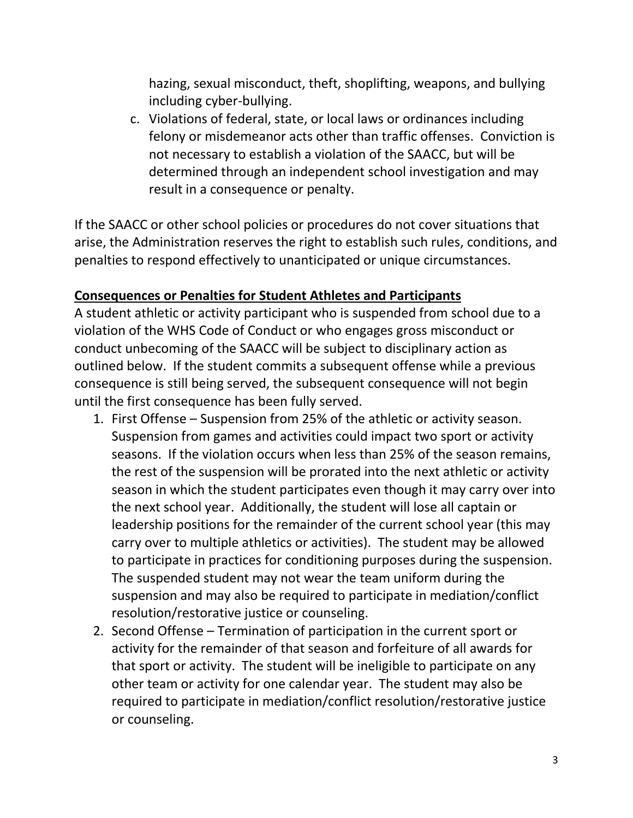hazing, sexual misconduct, theft, shoplifting, weapons, and bullying including cyber-bullying.

c. Violations of federal, state, or local laws or ordinances including felony or misdemeanor acts other than traffic offenses. Conviction is not necessary to establish a violation of the SAACC, but will be determined through an independent school investigation and may result in a consequence or penalty.

If the SAACC or other school policies or procedures do not cover situations that arise, the Administration reserves the right to establish such rules, conditions, and penalties to respond effectively to unanticipated or unique circumstances.

#### **Consequences or Penalties for Student Athletes and Participants**

A student athletic or activity participant who is suspended from school due to a violation of the WHS Code of Conduct or who engages gross misconduct or conduct unbecoming of the SAACC will be subject to disciplinary action as outlined below. If the student commits a subsequent offense while a previous consequence is still being served, the subsequent consequence will not begin until the first consequence has been fully served.

- 1. First Offense Suspension from 25% of the athletic or activity season. Suspension from games and activities could impact two sport or activity seasons. If the violation occurs when less than 25% of the season remains, the rest of the suspension will be prorated into the next athletic or activity season in which the student participates even though it may carry over into the next school year. Additionally, the student will lose all captain or leadership positions for the remainder of the current school year (this may carry over to multiple athletics or activities). The student may be allowed to participate in practices for conditioning purposes during the suspension. The suspended student may not wear the team uniform during the suspension and may also be required to participate in mediation/conflict resolution/restorative justice or counseling.
- 2. Second Offense Termination of participation in the current sport or activity for the remainder of that season and forfeiture of all awards for that sport or activity. The student will be ineligible to participate on any other team or activity for one calendar year. The student may also be required to participate in mediation/conflict resolution/restorative justice or counseling.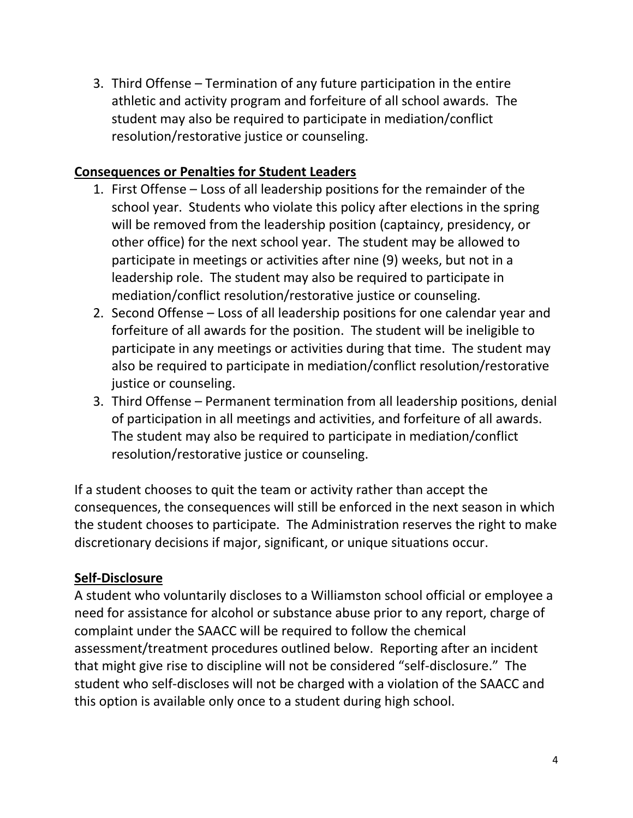3. Third Offense – Termination of any future participation in the entire athletic and activity program and forfeiture of all school awards. The student may also be required to participate in mediation/conflict resolution/restorative justice or counseling.

#### **Consequences or Penalties for Student Leaders**

- 1. First Offense Loss of all leadership positions for the remainder of the school year. Students who violate this policy after elections in the spring will be removed from the leadership position (captaincy, presidency, or other office) for the next school year. The student may be allowed to participate in meetings or activities after nine (9) weeks, but not in a leadership role. The student may also be required to participate in mediation/conflict resolution/restorative justice or counseling.
- 2. Second Offense Loss of all leadership positions for one calendar year and forfeiture of all awards for the position. The student will be ineligible to participate in any meetings or activities during that time. The student may also be required to participate in mediation/conflict resolution/restorative justice or counseling.
- 3. Third Offense Permanent termination from all leadership positions, denial of participation in all meetings and activities, and forfeiture of all awards. The student may also be required to participate in mediation/conflict resolution/restorative justice or counseling.

If a student chooses to quit the team or activity rather than accept the consequences, the consequences will still be enforced in the next season in which the student chooses to participate. The Administration reserves the right to make discretionary decisions if major, significant, or unique situations occur.

# **Self-Disclosure**

A student who voluntarily discloses to a Williamston school official or employee a need for assistance for alcohol or substance abuse prior to any report, charge of complaint under the SAACC will be required to follow the chemical assessment/treatment procedures outlined below. Reporting after an incident that might give rise to discipline will not be considered "self-disclosure." The student who self-discloses will not be charged with a violation of the SAACC and this option is available only once to a student during high school.